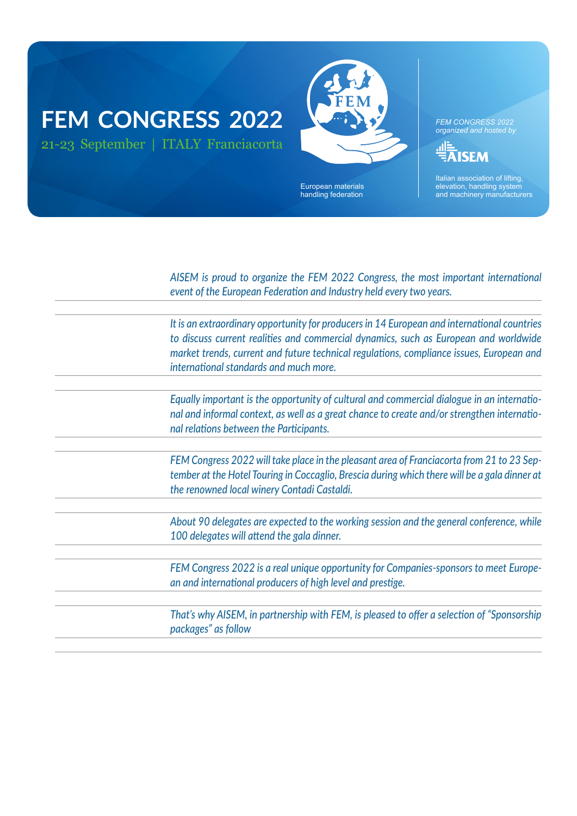### **FEM CONGRESS 2022** 21-23 September | ITALY Franciacorta



European materials handling federation

*FEM CONGRESS 2022 organized and hosted by*

**ISEM** 

Italian association of lifting, elevation, handling system and machinery manufacturers

*AISEM is proud to organize the FEM 2022 Congress, the most important international event of the European Federation and Industry held every two years.* 

*It is an extraordinary opportunity for producers in 14 European and international countries to discuss current realities and commercial dynamics, such as European and worldwide market trends, current and future technical regulations, compliance issues, European and international standards and much more.*

*Equally important is the opportunity of cultural and commercial dialogue in an international and informal context, as well as a great chance to create and/or strengthen international relations between the Participants.*

*FEM Congress 2022 will take place in the pleasant area of Franciacorta from 21 to 23 September at the Hotel Touring in Coccaglio, Brescia during which there will be a gala dinner at the renowned local winery Contadi Castaldi.* 

*About 90 delegates are expected to the working session and the general conference, while 100 delegates will attend the gala dinner.*

FEM Congress 2022 is a real unique opportunity for Companies-sponsors to meet Europe*an and international producers of high level and prestige.*

*That's why AISEM, in partnership with FEM, is pleased to offer a selection of "Sponsorship packages" as follow*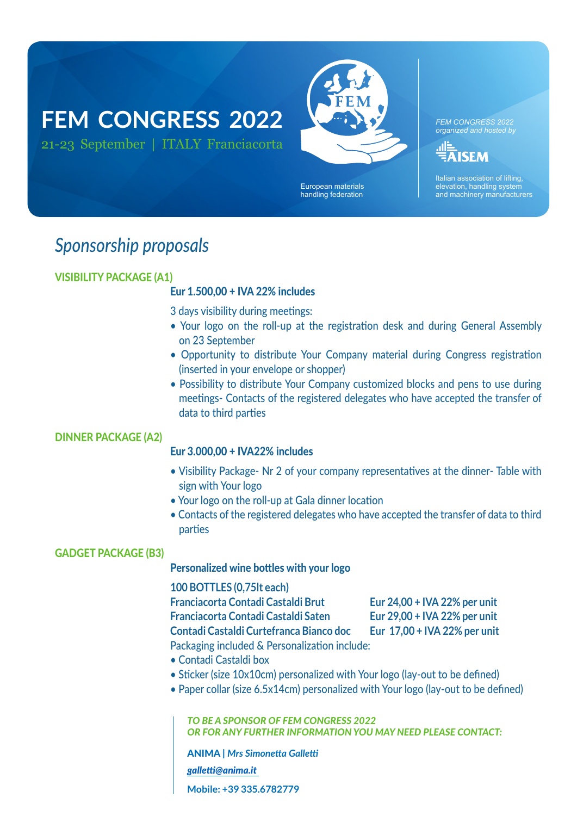## **FEM CONGRESS 2022** 21-23 September | ITALY Franciacorta



European materials handling federation

*FEM CONGRESS 2022 organized and hosted by*

.ıl≣ **AISEM** 

Italian association of lifting, elevation, handling system and machinery manufacturers

### *Sponsorship proposals*

### VISIBILITY PACKAGE (A1)

#### Eur 1.500,00 + IVA 22% includes

3 days visibility during meetings:

- Your logo on the roll-up at the registration desk and during General Assembly on 23 September
- Opportunity to distribute Your Company material during Congress registration (inserted in your envelope or shopper)
- Possibility to distribute Your Company customized blocks and pens to use during meetings- Contacts of the registered delegates who have accepted the transfer of data to third parties

#### DINNER PACKAGE (A2)

#### Eur 3.000,00 + IVA22% includes

- Visibility Package- Nr 2 of your company representatives at the dinner- Table with sign with Your logo
- Your logo on the roll-up at Gala dinner location
- Contacts of the registered delegates who have accepted the transfer of data to third parties

#### GADGET PACKAGE (B3)

#### Personalized wine bottles with your logo

**100 BOTTLES (0,75lt each)**

**Franciacorta Contadi Castaldi Brut Eur 24,00 + IVA 22% per unit Franciacorta Contadi Castaldi Saten Eur 29,00 + IVA 22% per unit** 

**Contadi Castaldi Curtefranca Bianco doc Eur 17,00 + IVA 22% per unit**

- Packaging included & Personalization include:
- Contadi Castaldi box
- Sticker (size 10x10cm) personalized with Your logo (lay-out to be defined)
- Paper collar (size 6.5x14cm) personalized with Your logo (lay-out to be defined)

*TO BE A SPONSOR OF FEM CONGRESS 2022 OR FOR ANY FURTHER INFORMATION YOU MAY NEED PLEASE CONTACT:*

ANIMA | *Mrs Simonetta Galletti [galletti@anima.it](mailto:galletti%40anima.it%20?subject=)* 

**Mobile: +39 335.6782779**